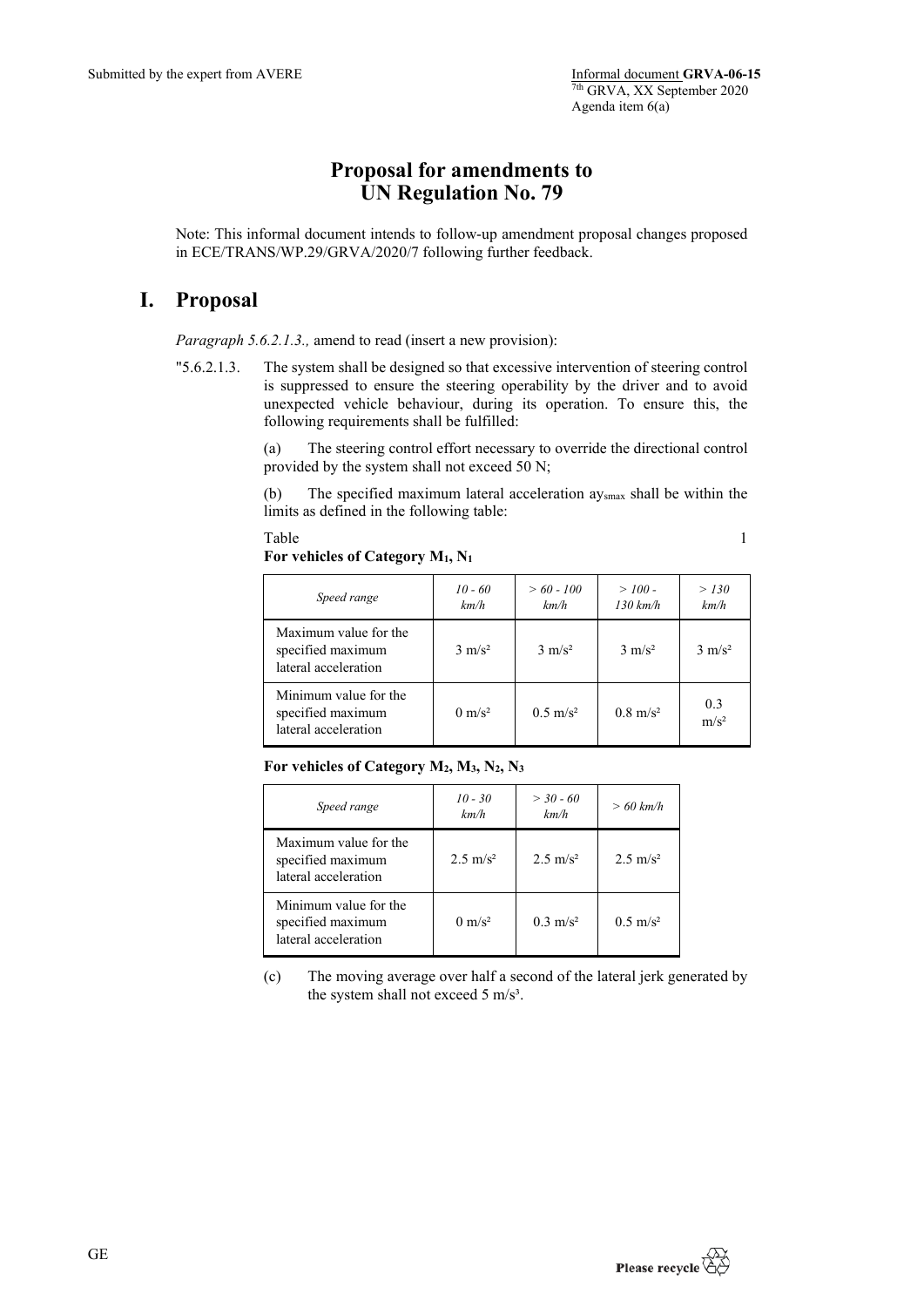## **Proposal for amendments to UN Regulation No. 79**

Note: This informal document intends to follow-up amendment proposal changes proposed in ECE/TRANS/WP.29/GRVA/2020/7 following further feedback.

## **I. Proposal**

*Paragraph 5.6.2.1.3.,* amend to read (insert a new provision):

"5.6.2.1.3. The system shall be designed so that excessive intervention of steering control is suppressed to ensure the steering operability by the driver and to avoid unexpected vehicle behaviour, during its operation. To ensure this, the following requirements shall be fulfilled:

> (a) The steering control effort necessary to override the directional control provided by the system shall not exceed 50 N;

> (b) The specified maximum lateral acceleration aysmax shall be within the limits as defined in the following table:

> Table 1

**For vehicles of Category M1, N1**

| Speed range                                                        | $10 - 60$<br>km/h | $> 60 - 100$<br>km/h | $>100-$<br>$130 \ km/h$ | > 130<br>km/h           |
|--------------------------------------------------------------------|-------------------|----------------------|-------------------------|-------------------------|
| Maximum value for the<br>specified maximum<br>lateral acceleration | $3 \text{ m/s}^2$ | $3 \text{ m/s}^2$    | $3 \text{ m/s}^2$       | $3 \text{ m/s}^2$       |
| Minimum value for the<br>specified maximum<br>lateral acceleration | $0 \text{ m/s}^2$ | $0.5 \text{ m/s}^2$  | $0.8 \text{ m/s}^2$     | 0.3<br>m/s <sup>2</sup> |

**For vehicles of Category M2, M3, N2, N3**

| Speed range                                                        | $10 - 30$<br>km/h   | $> 30 - 60$<br>km/h | $>60$ km/h          |
|--------------------------------------------------------------------|---------------------|---------------------|---------------------|
| Maximum value for the<br>specified maximum<br>lateral acceleration | $2.5 \text{ m/s}^2$ | $2.5 \text{ m/s}^2$ | $2.5 \text{ m/s}^2$ |
| Minimum value for the<br>specified maximum<br>lateral acceleration | $0 \text{ m/s}^2$   | $0.3 \text{ m/s}^2$ | $0.5 \text{ m/s}^2$ |

(c) The moving average over half a second of the lateral jerk generated by the system shall not exceed 5 m/s<sup>3</sup>.